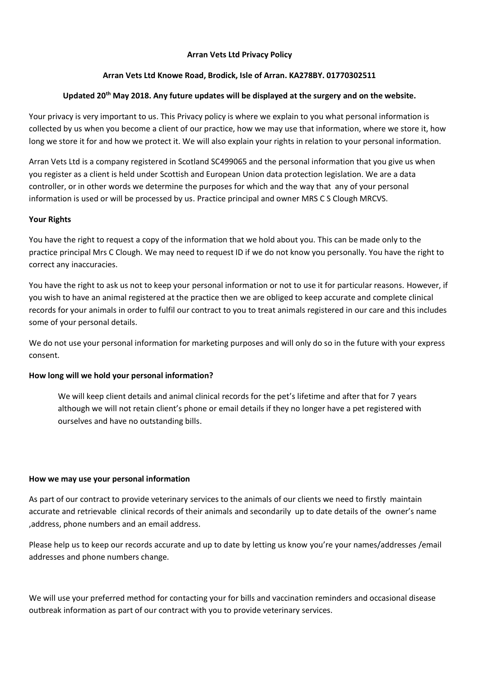#### **Arran Vets Ltd Privacy Policy**

# **Arran Vets Ltd Knowe Road, Brodick, Isle of Arran. KA278BY. 01770302511**

# **Updated 20th May 2018. Any future updates will be displayed at the surgery and on the website.**

Your privacy is very important to us. This Privacy policy is where we explain to you what personal information is collected by us when you become a client of our practice, how we may use that information, where we store it, how long we store it for and how we protect it. We will also explain your rights in relation to your personal information.

Arran Vets Ltd is a company registered in Scotland SC499065 and the personal information that you give us when you register as a client is held under Scottish and European Union data protection legislation. We are a data controller, or in other words we determine the purposes for which and the way that any of your personal information is used or will be processed by us. Practice principal and owner MRS C S Clough MRCVS.

#### **Your Rights**

You have the right to request a copy of the information that we hold about you. This can be made only to the practice principal Mrs C Clough. We may need to request ID if we do not know you personally. You have the right to correct any inaccuracies.

You have the right to ask us not to keep your personal information or not to use it for particular reasons. However, if you wish to have an animal registered at the practice then we are obliged to keep accurate and complete clinical records for your animals in order to fulfil our contract to you to treat animals registered in our care and this includes some of your personal details.

We do not use your personal information for marketing purposes and will only do so in the future with your express consent.

# **How long will we hold your personal information?**

We will keep client details and animal clinical records for the pet's lifetime and after that for 7 years although we will not retain client's phone or email details if they no longer have a pet registered with ourselves and have no outstanding bills.

#### **How we may use your personal information**

As part of our contract to provide veterinary services to the animals of our clients we need to firstly maintain accurate and retrievable clinical records of their animals and secondarily up to date details of the owner's name ,address, phone numbers and an email address.

Please help us to keep our records accurate and up to date by letting us know you're your names/addresses /email addresses and phone numbers change.

We will use your preferred method for contacting your for bills and vaccination reminders and occasional disease outbreak information as part of our contract with you to provide veterinary services.